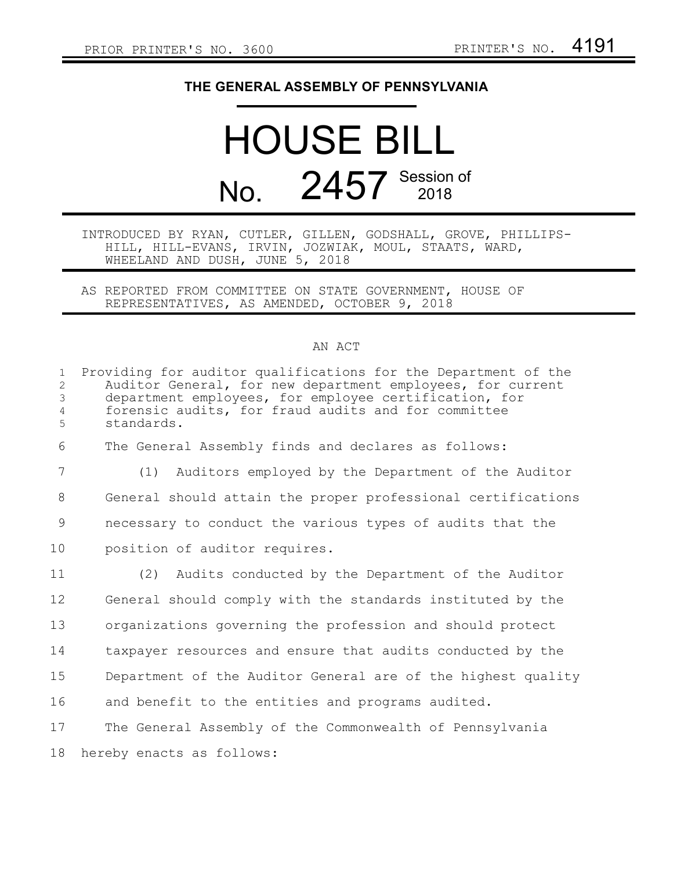## **THE GENERAL ASSEMBLY OF PENNSYLVANIA**

## HOUSE BILL No. 2457 Session of

## INTRODUCED BY RYAN, CUTLER, GILLEN, GODSHALL, GROVE, PHILLIPS-HILL, HILL-EVANS, IRVIN, JOZWIAK, MOUL, STAATS, WARD, WHEELAND AND DUSH, JUNE 5, 2018

AS REPORTED FROM COMMITTEE ON STATE GOVERNMENT, HOUSE OF REPRESENTATIVES, AS AMENDED, OCTOBER 9, 2018

## AN ACT

| $\mathbf{1}$<br>$\overline{2}$<br>$\mathcal{S}$<br>$\overline{4}$ | Providing for auditor qualifications for the Department of the<br>Auditor General, for new department employees, for current<br>department employees, for employee certification, for<br>forensic audits, for fraud audits and for committee |
|-------------------------------------------------------------------|----------------------------------------------------------------------------------------------------------------------------------------------------------------------------------------------------------------------------------------------|
| 5                                                                 | standards.                                                                                                                                                                                                                                   |
| 6                                                                 | The General Assembly finds and declares as follows:                                                                                                                                                                                          |
| $7\phantom{.0}$                                                   | Auditors employed by the Department of the Auditor<br>(1)                                                                                                                                                                                    |
| 8                                                                 | General should attain the proper professional certifications                                                                                                                                                                                 |
| 9                                                                 | necessary to conduct the various types of audits that the                                                                                                                                                                                    |
| 10                                                                | position of auditor requires.                                                                                                                                                                                                                |
| 11                                                                | (2) Audits conducted by the Department of the Auditor                                                                                                                                                                                        |
| 12                                                                | General should comply with the standards instituted by the                                                                                                                                                                                   |
| 13                                                                | organizations governing the profession and should protect                                                                                                                                                                                    |
| 14                                                                | taxpayer resources and ensure that audits conducted by the                                                                                                                                                                                   |
| 15                                                                | Department of the Auditor General are of the highest quality                                                                                                                                                                                 |
| 16                                                                | and benefit to the entities and programs audited.                                                                                                                                                                                            |
| 17                                                                | The General Assembly of the Commonwealth of Pennsylvania                                                                                                                                                                                     |
| 18                                                                | hereby enacts as follows:                                                                                                                                                                                                                    |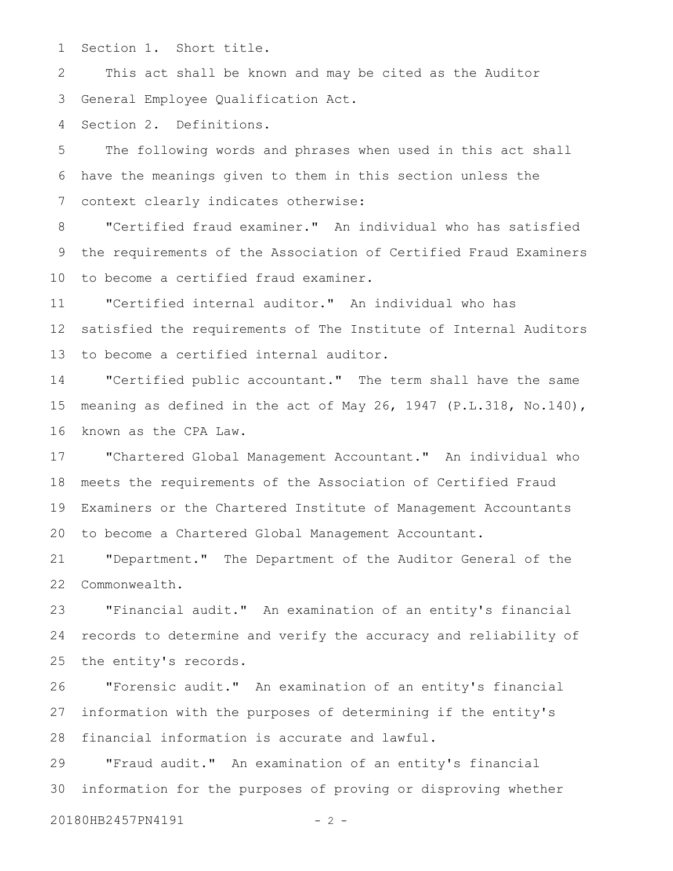Section 1. Short title. 1

This act shall be known and may be cited as the Auditor General Employee Qualification Act. 2 3

Section 2. Definitions. 4

The following words and phrases when used in this act shall have the meanings given to them in this section unless the context clearly indicates otherwise: 5 6 7

"Certified fraud examiner." An individual who has satisfied the requirements of the Association of Certified Fraud Examiners to become a certified fraud examiner. 8 9 10

"Certified internal auditor." An individual who has satisfied the requirements of The Institute of Internal Auditors to become a certified internal auditor. 11 12 13

"Certified public accountant." The term shall have the same meaning as defined in the act of May 26, 1947 (P.L.318, No.140), known as the CPA Law. 14 15 16

"Chartered Global Management Accountant." An individual who meets the requirements of the Association of Certified Fraud Examiners or the Chartered Institute of Management Accountants to become a Chartered Global Management Accountant. 17 18 19 20

"Department." The Department of the Auditor General of the Commonwealth. 21 22

"Financial audit." An examination of an entity's financial records to determine and verify the accuracy and reliability of the entity's records. 23 24 25

"Forensic audit." An examination of an entity's financial information with the purposes of determining if the entity's financial information is accurate and lawful. 26 27 28

"Fraud audit." An examination of an entity's financial information for the purposes of proving or disproving whether 20180HB2457PN4191 - 2 -29 30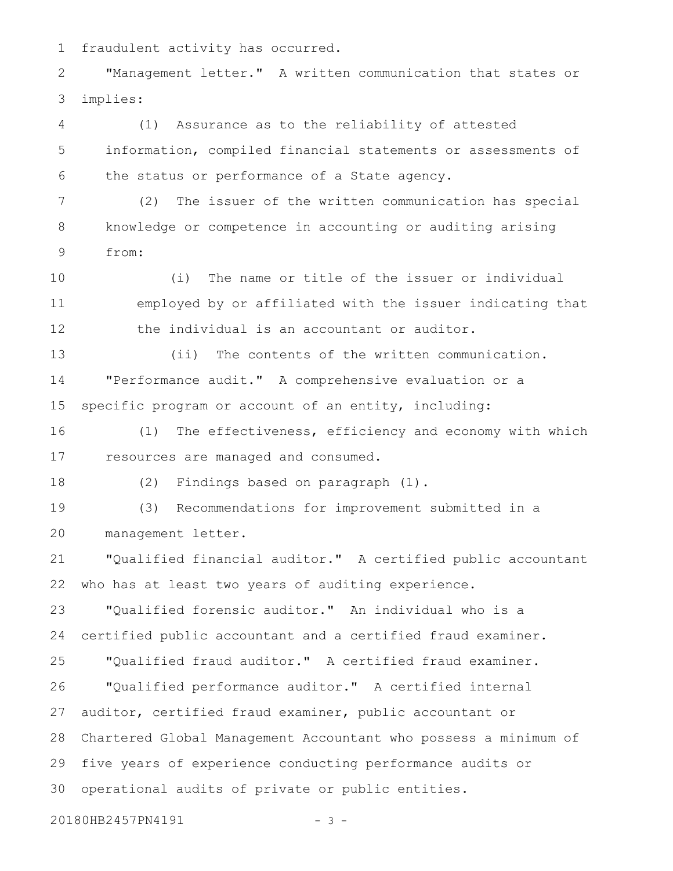fraudulent activity has occurred. 1

"Management letter." A written communication that states or implies: 2 3

(1) Assurance as to the reliability of attested information, compiled financial statements or assessments of the status or performance of a State agency. 4 5 6

(2) The issuer of the written communication has special knowledge or competence in accounting or auditing arising from: 7 8 9

(i) The name or title of the issuer or individual employed by or affiliated with the issuer indicating that the individual is an accountant or auditor. 10 11 12

(ii) The contents of the written communication. "Performance audit." A comprehensive evaluation or a specific program or account of an entity, including: 13 14 15

(1) The effectiveness, efficiency and economy with which resources are managed and consumed. 16 17

(2) Findings based on paragraph (1). 18

(3) Recommendations for improvement submitted in a management letter. 19 20

"Qualified financial auditor." A certified public accountant who has at least two years of auditing experience. 21 22

"Qualified forensic auditor." An individual who is a certified public accountant and a certified fraud examiner. 23 24

"Qualified fraud auditor." A certified fraud examiner. "Qualified performance auditor." A certified internal auditor, certified fraud examiner, public accountant or Chartered Global Management Accountant who possess a minimum of five years of experience conducting performance audits or operational audits of private or public entities. 25 26 27 28 29 30

20180HB2457PN4191 - 3 -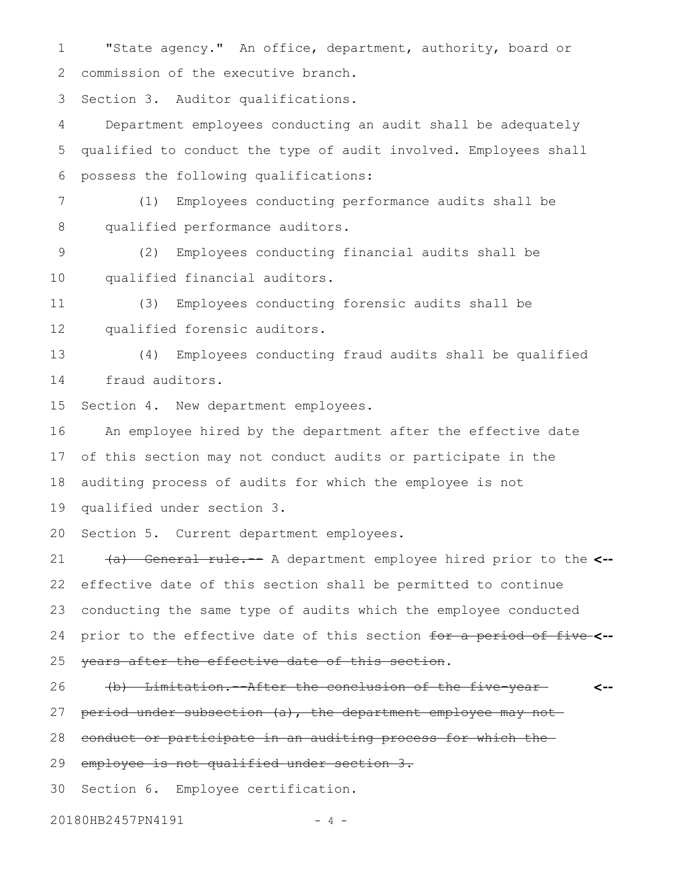"State agency." An office, department, authority, board or commission of the executive branch. 1 2

Section 3. Auditor qualifications. 3

Department employees conducting an audit shall be adequately qualified to conduct the type of audit involved. Employees shall possess the following qualifications: 4 5 6

(1) Employees conducting performance audits shall be qualified performance auditors. 7 8

(2) Employees conducting financial audits shall be qualified financial auditors. 9 10

(3) Employees conducting forensic audits shall be qualified forensic auditors. 11 12

(4) Employees conducting fraud audits shall be qualified fraud auditors. 13 14

Section 4. New department employees. 15

An employee hired by the department after the effective date of this section may not conduct audits or participate in the auditing process of audits for which the employee is not qualified under section 3. 16 17 18 19

Section 5. Current department employees. 20

(a) General rule.-- A department employee hired prior to the **<-** effective date of this section shall be permitted to continue conducting the same type of audits which the employee conducted prior to the effective date of this section for a period of five **<-** years after the effective date of this section. 21 22 23 24 25

(b) Limitation.--After the conclusion of the five-year **<--** 26

period under subsection (a), the department employee may not 27

conduct or participate in an auditing process for which the 28

employee is not qualified under section 3. 29

Section 6. Employee certification. 30

20180HB2457PN4191 - 4 -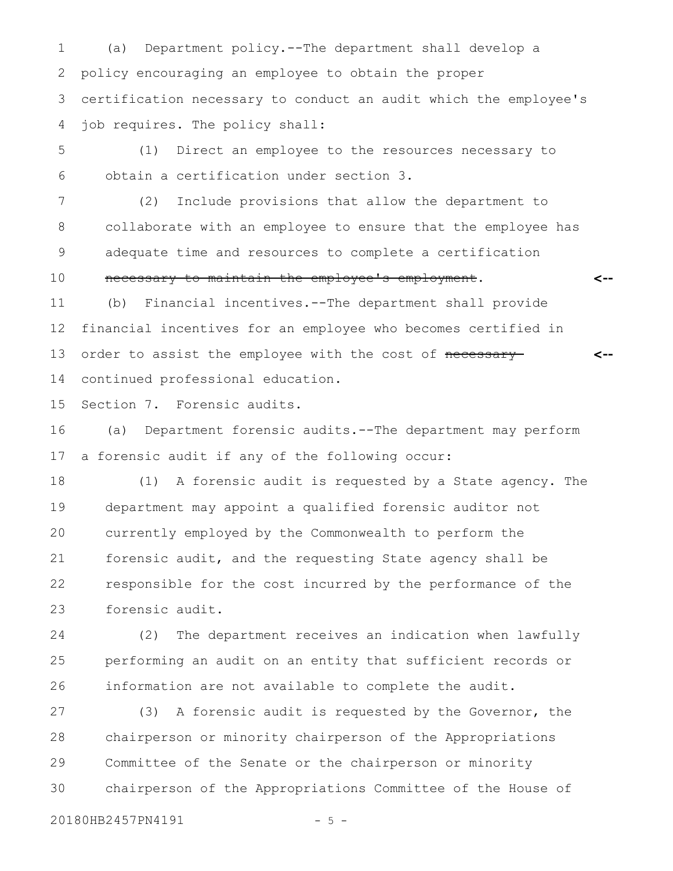(a) Department policy.--The department shall develop a policy encouraging an employee to obtain the proper certification necessary to conduct an audit which the employee's job requires. The policy shall: 1 2 3 4

(1) Direct an employee to the resources necessary to obtain a certification under section 3. 5 6

(2) Include provisions that allow the department to collaborate with an employee to ensure that the employee has adequate time and resources to complete a certification necessary to maintain the employee's employment. 7 8 9 10

**<--**

(b) Financial incentives.--The department shall provide financial incentives for an employee who becomes certified in order to assist the employee with the cost of necessary continued professional education. **<--** 11 12 13 14

Section 7. Forensic audits. 15

(a) Department forensic audits.--The department may perform a forensic audit if any of the following occur: 16 17

(1) A forensic audit is requested by a State agency. The department may appoint a qualified forensic auditor not currently employed by the Commonwealth to perform the forensic audit, and the requesting State agency shall be responsible for the cost incurred by the performance of the forensic audit. 18 19 20 21 22 23

(2) The department receives an indication when lawfully performing an audit on an entity that sufficient records or information are not available to complete the audit. 24 25 26

(3) A forensic audit is requested by the Governor, the chairperson or minority chairperson of the Appropriations Committee of the Senate or the chairperson or minority chairperson of the Appropriations Committee of the House of 27 28 29 30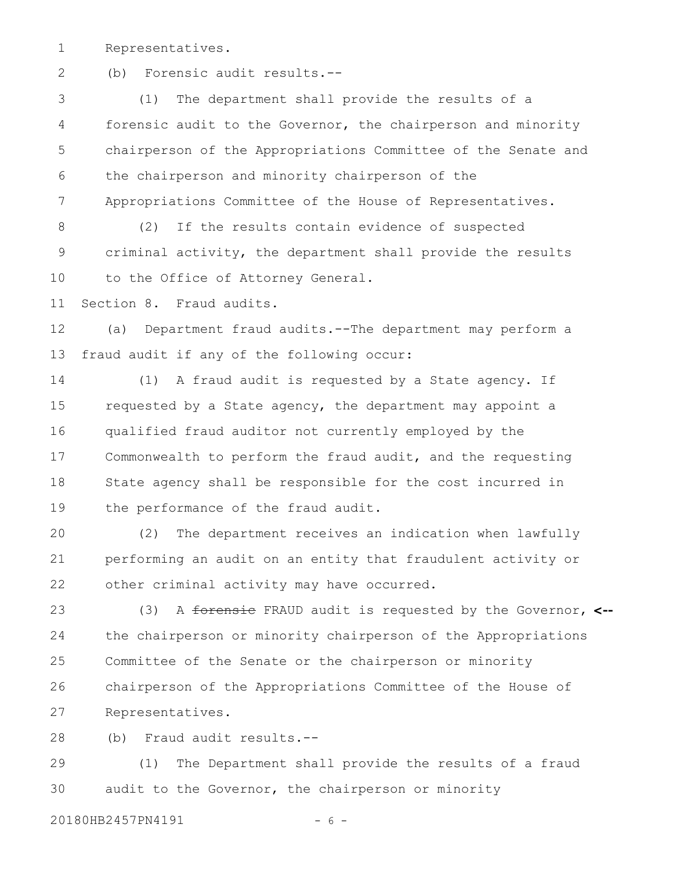Representatives. 1

2

(b) Forensic audit results.--

(1) The department shall provide the results of a forensic audit to the Governor, the chairperson and minority chairperson of the Appropriations Committee of the Senate and the chairperson and minority chairperson of the Appropriations Committee of the House of Representatives. 3 4 5 6 7

(2) If the results contain evidence of suspected criminal activity, the department shall provide the results to the Office of Attorney General. 8 9 10

Section 8. Fraud audits. 11

(a) Department fraud audits.--The department may perform a fraud audit if any of the following occur: 12 13

(1) A fraud audit is requested by a State agency. If requested by a State agency, the department may appoint a qualified fraud auditor not currently employed by the Commonwealth to perform the fraud audit, and the requesting State agency shall be responsible for the cost incurred in the performance of the fraud audit. 14 15 16 17 18 19

(2) The department receives an indication when lawfully performing an audit on an entity that fraudulent activity or other criminal activity may have occurred. 20 21 22

(3) A forensic FRAUD audit is requested by the Governor, **<-** the chairperson or minority chairperson of the Appropriations Committee of the Senate or the chairperson or minority chairperson of the Appropriations Committee of the House of Representatives. 23 24 25 26 27

(b) Fraud audit results.-- 28

(1) The Department shall provide the results of a fraud audit to the Governor, the chairperson or minority 29 30

20180HB2457PN4191 - 6 -